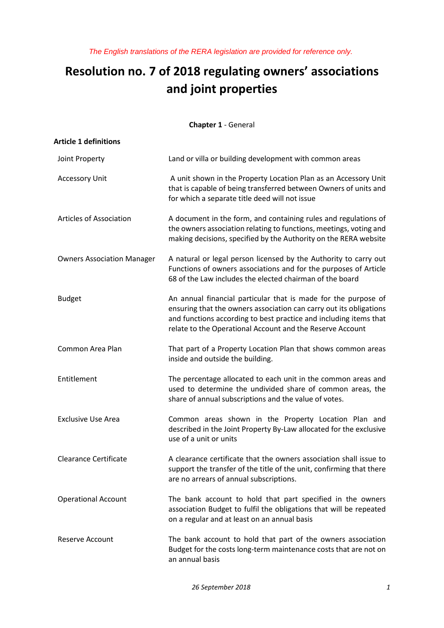*The English translations of the RERA legislation are provided for reference only.*

# **Resolution no. 7 of 2018 regulating owners' associations and joint properties**

| <b>Chapter 1 - General</b>        |                                                                                                                                                                                                                                                                        |  |
|-----------------------------------|------------------------------------------------------------------------------------------------------------------------------------------------------------------------------------------------------------------------------------------------------------------------|--|
| <b>Article 1 definitions</b>      |                                                                                                                                                                                                                                                                        |  |
| Joint Property                    | Land or villa or building development with common areas                                                                                                                                                                                                                |  |
| <b>Accessory Unit</b>             | A unit shown in the Property Location Plan as an Accessory Unit<br>that is capable of being transferred between Owners of units and<br>for which a separate title deed will not issue                                                                                  |  |
| <b>Articles of Association</b>    | A document in the form, and containing rules and regulations of<br>the owners association relating to functions, meetings, voting and<br>making decisions, specified by the Authority on the RERA website                                                              |  |
| <b>Owners Association Manager</b> | A natural or legal person licensed by the Authority to carry out<br>Functions of owners associations and for the purposes of Article<br>68 of the Law includes the elected chairman of the board                                                                       |  |
| <b>Budget</b>                     | An annual financial particular that is made for the purpose of<br>ensuring that the owners association can carry out its obligations<br>and functions according to best practice and including items that<br>relate to the Operational Account and the Reserve Account |  |
| Common Area Plan                  | That part of a Property Location Plan that shows common areas<br>inside and outside the building.                                                                                                                                                                      |  |
| Entitlement                       | The percentage allocated to each unit in the common areas and<br>used to determine the undivided share of common areas, the<br>share of annual subscriptions and the value of votes.                                                                                   |  |
| <b>Exclusive Use Area</b>         | Common areas shown in the Property Location Plan and<br>described in the Joint Property By-Law allocated for the exclusive<br>use of a unit or units                                                                                                                   |  |
| <b>Clearance Certificate</b>      | A clearance certificate that the owners association shall issue to<br>support the transfer of the title of the unit, confirming that there<br>are no arrears of annual subscriptions.                                                                                  |  |
| <b>Operational Account</b>        | The bank account to hold that part specified in the owners<br>association Budget to fulfil the obligations that will be repeated<br>on a regular and at least on an annual basis                                                                                       |  |
| Reserve Account                   | The bank account to hold that part of the owners association<br>Budget for the costs long-term maintenance costs that are not on<br>an annual basis                                                                                                                    |  |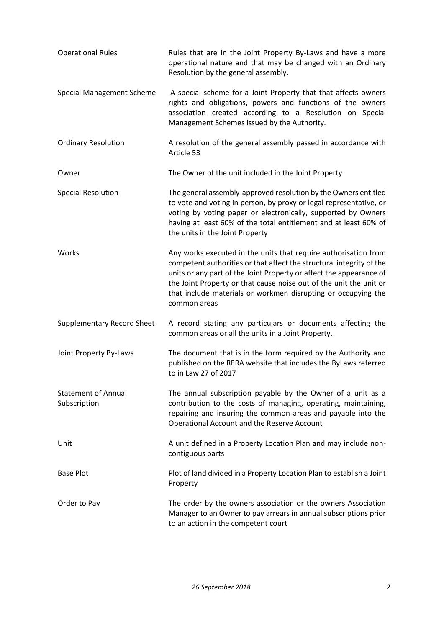| <b>Operational Rules</b>                   | Rules that are in the Joint Property By-Laws and have a more<br>operational nature and that may be changed with an Ordinary<br>Resolution by the general assembly.                                                                                                                                                                                                    |
|--------------------------------------------|-----------------------------------------------------------------------------------------------------------------------------------------------------------------------------------------------------------------------------------------------------------------------------------------------------------------------------------------------------------------------|
| <b>Special Management Scheme</b>           | A special scheme for a Joint Property that that affects owners<br>rights and obligations, powers and functions of the owners<br>association created according to a Resolution on Special<br>Management Schemes issued by the Authority.                                                                                                                               |
| <b>Ordinary Resolution</b>                 | A resolution of the general assembly passed in accordance with<br>Article 53                                                                                                                                                                                                                                                                                          |
| Owner                                      | The Owner of the unit included in the Joint Property                                                                                                                                                                                                                                                                                                                  |
| <b>Special Resolution</b>                  | The general assembly-approved resolution by the Owners entitled<br>to vote and voting in person, by proxy or legal representative, or<br>voting by voting paper or electronically, supported by Owners<br>having at least 60% of the total entitlement and at least 60% of<br>the units in the Joint Property                                                         |
| Works                                      | Any works executed in the units that require authorisation from<br>competent authorities or that affect the structural integrity of the<br>units or any part of the Joint Property or affect the appearance of<br>the Joint Property or that cause noise out of the unit the unit or<br>that include materials or workmen disrupting or occupying the<br>common areas |
| <b>Supplementary Record Sheet</b>          | A record stating any particulars or documents affecting the<br>common areas or all the units in a Joint Property.                                                                                                                                                                                                                                                     |
| Joint Property By-Laws                     | The document that is in the form required by the Authority and<br>published on the RERA website that includes the ByLaws referred<br>to in Law 27 of 2017                                                                                                                                                                                                             |
| <b>Statement of Annual</b><br>Subscription | The annual subscription payable by the Owner of a unit as a<br>contribution to the costs of managing, operating, maintaining,<br>repairing and insuring the common areas and payable into the<br>Operational Account and the Reserve Account                                                                                                                          |
| Unit                                       | A unit defined in a Property Location Plan and may include non-<br>contiguous parts                                                                                                                                                                                                                                                                                   |
| <b>Base Plot</b>                           | Plot of land divided in a Property Location Plan to establish a Joint<br>Property                                                                                                                                                                                                                                                                                     |
| Order to Pay                               | The order by the owners association or the owners Association<br>Manager to an Owner to pay arrears in annual subscriptions prior<br>to an action in the competent court                                                                                                                                                                                              |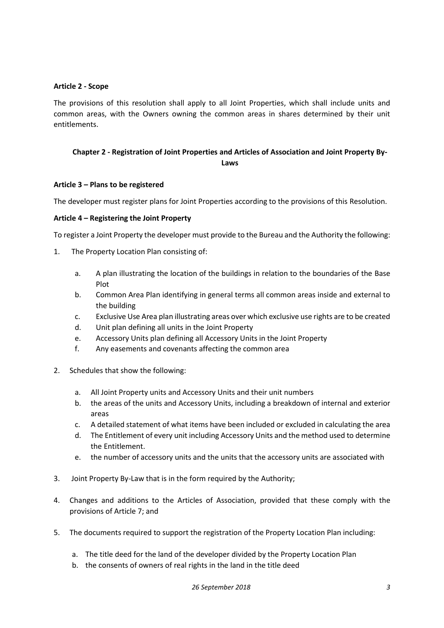#### **Article 2 - Scope**

The provisions of this resolution shall apply to all Joint Properties, which shall include units and common areas, with the Owners owning the common areas in shares determined by their unit entitlements.

# **Chapter 2 - Registration of Joint Properties and Articles of Association and Joint Property By-Laws**

#### **Article 3 – Plans to be registered**

The developer must register plans for Joint Properties according to the provisions of this Resolution.

#### **Article 4 – Registering the Joint Property**

To register a Joint Property the developer must provide to the Bureau and the Authority the following:

- 1. The Property Location Plan consisting of:
	- a. A plan illustrating the location of the buildings in relation to the boundaries of the Base Plot
	- b. Common Area Plan identifying in general terms all common areas inside and external to the building
	- c. Exclusive Use Area plan illustrating areas over which exclusive use rights are to be created
	- d. Unit plan defining all units in the Joint Property
	- e. Accessory Units plan defining all Accessory Units in the Joint Property
	- f. Any easements and covenants affecting the common area
- 2. Schedules that show the following:
	- a. All Joint Property units and Accessory Units and their unit numbers
	- b. the areas of the units and Accessory Units, including a breakdown of internal and exterior areas
	- c. A detailed statement of what items have been included or excluded in calculating the area
	- d. The Entitlement of every unit including Accessory Units and the method used to determine the Entitlement.
	- e. the number of accessory units and the units that the accessory units are associated with
- 3. Joint Property By-Law that is in the form required by the Authority;
- 4. Changes and additions to the Articles of Association, provided that these comply with the provisions of Article 7; and
- 5. The documents required to support the registration of the Property Location Plan including:
	- a. The title deed for the land of the developer divided by the Property Location Plan
	- b. the consents of owners of real rights in the land in the title deed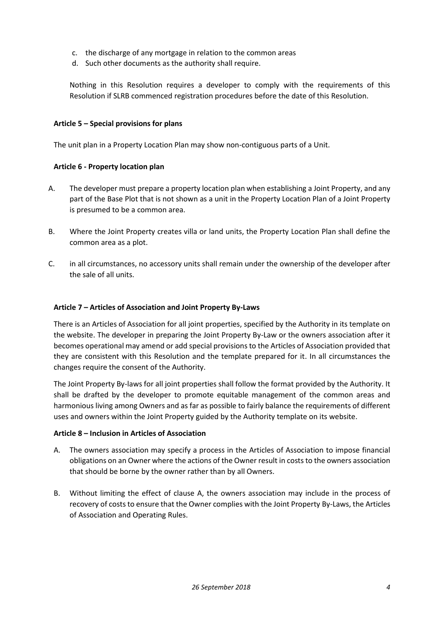- c. the discharge of any mortgage in relation to the common areas
- d. Such other documents as the authority shall require.

Nothing in this Resolution requires a developer to comply with the requirements of this Resolution if SLRB commenced registration procedures before the date of this Resolution.

# **Article 5 – Special provisions for plans**

The unit plan in a Property Location Plan may show non-contiguous parts of a Unit.

# **Article 6 - Property location plan**

- A. The developer must prepare a property location plan when establishing a Joint Property, and any part of the Base Plot that is not shown as a unit in the Property Location Plan of a Joint Property is presumed to be a common area.
- B. Where the Joint Property creates villa or land units, the Property Location Plan shall define the common area as a plot.
- C. in all circumstances, no accessory units shall remain under the ownership of the developer after the sale of all units.

# **Article 7 – Articles of Association and Joint Property By-Laws**

There is an Articles of Association for all joint properties, specified by the Authority in its template on the website. The developer in preparing the Joint Property By-Law or the owners association after it becomes operational may amend or add special provisions to the Articles of Association provided that they are consistent with this Resolution and the template prepared for it. In all circumstances the changes require the consent of the Authority.

The Joint Property By-laws for all joint properties shall follow the format provided by the Authority. It shall be drafted by the developer to promote equitable management of the common areas and harmonious living among Owners and as far as possible to fairly balance the requirements of different uses and owners within the Joint Property guided by the Authority template on its website.

#### **Article 8 – Inclusion in Articles of Association**

- A. The owners association may specify a process in the Articles of Association to impose financial obligations on an Owner where the actions of the Owner result in costs to the owners association that should be borne by the owner rather than by all Owners.
- B. Without limiting the effect of clause A, the owners association may include in the process of recovery of costs to ensure that the Owner complies with the Joint Property By-Laws, the Articles of Association and Operating Rules.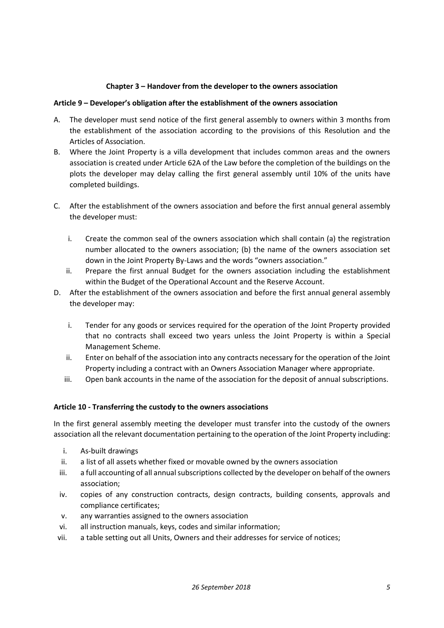# **Chapter 3 – Handover from the developer to the owners association**

#### **Article 9 – Developer's obligation after the establishment of the owners association**

- A. The developer must send notice of the first general assembly to owners within 3 months from the establishment of the association according to the provisions of this Resolution and the Articles of Association.
- B. Where the Joint Property is a villa development that includes common areas and the owners association is created under Article 62A of the Law before the completion of the buildings on the plots the developer may delay calling the first general assembly until 10% of the units have completed buildings.
- C. After the establishment of the owners association and before the first annual general assembly the developer must:
	- i. Create the common seal of the owners association which shall contain (a) the registration number allocated to the owners association; (b) the name of the owners association set down in the Joint Property By-Laws and the words "owners association."
	- ii. Prepare the first annual Budget for the owners association including the establishment within the Budget of the Operational Account and the Reserve Account.
- D. After the establishment of the owners association and before the first annual general assembly the developer may:
	- i. Tender for any goods or services required for the operation of the Joint Property provided that no contracts shall exceed two years unless the Joint Property is within a Special Management Scheme.
	- ii. Enter on behalf of the association into any contracts necessary for the operation of the Joint Property including a contract with an Owners Association Manager where appropriate.
	- iii. Open bank accounts in the name of the association for the deposit of annual subscriptions.

#### **Article 10 - Transferring the custody to the owners associations**

In the first general assembly meeting the developer must transfer into the custody of the owners association all the relevant documentation pertaining to the operation of the Joint Property including:

- i. As-built drawings
- ii. a list of all assets whether fixed or movable owned by the owners association
- iii. a full accounting of all annual subscriptions collected by the developer on behalf of the owners association;
- iv. copies of any construction contracts, design contracts, building consents, approvals and compliance certificates;
- v. any warranties assigned to the owners association
- vi. all instruction manuals, keys, codes and similar information;
- vii. a table setting out all Units, Owners and their addresses for service of notices;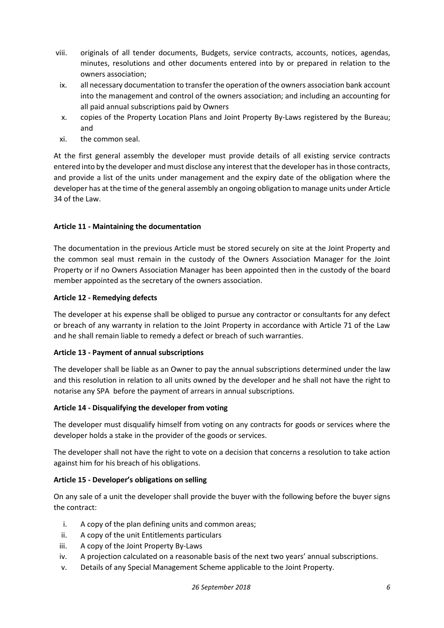- viii. originals of all tender documents, Budgets, service contracts, accounts, notices, agendas, minutes, resolutions and other documents entered into by or prepared in relation to the owners association;
- ix. all necessary documentation to transfer the operation of the owners association bank account into the management and control of the owners association; and including an accounting for all paid annual subscriptions paid by Owners
- x. copies of the Property Location Plans and Joint Property By-Laws registered by the Bureau; and
- xi. the common seal.

At the first general assembly the developer must provide details of all existing service contracts entered into by the developer and must disclose any interest that the developer has in those contracts, and provide a list of the units under management and the expiry date of the obligation where the developer has at the time of the general assembly an ongoing obligation to manage units under Article 34 of the Law.

# **Article 11 - Maintaining the documentation**

The documentation in the previous Article must be stored securely on site at the Joint Property and the common seal must remain in the custody of the Owners Association Manager for the Joint Property or if no Owners Association Manager has been appointed then in the custody of the board member appointed as the secretary of the owners association.

# **Article 12 - Remedying defects**

The developer at his expense shall be obliged to pursue any contractor or consultants for any defect or breach of any warranty in relation to the Joint Property in accordance with Article 71 of the Law and he shall remain liable to remedy a defect or breach of such warranties.

# **Article 13 - Payment of annual subscriptions**

The developer shall be liable as an Owner to pay the annual subscriptions determined under the law and this resolution in relation to all units owned by the developer and he shall not have the right to notarise any SPA before the payment of arrears in annual subscriptions.

# **Article 14 - Disqualifying the developer from voting**

The developer must disqualify himself from voting on any contracts for goods or services where the developer holds a stake in the provider of the goods or services.

The developer shall not have the right to vote on a decision that concerns a resolution to take action against him for his breach of his obligations.

# **Article 15 - Developer's obligations on selling**

On any sale of a unit the developer shall provide the buyer with the following before the buyer signs the contract:

- i. A copy of the plan defining units and common areas;
- ii. A copy of the unit Entitlements particulars
- iii. A copy of the Joint Property By-Laws
- iv. A projection calculated on a reasonable basis of the next two years' annual subscriptions.
- v. Details of any Special Management Scheme applicable to the Joint Property.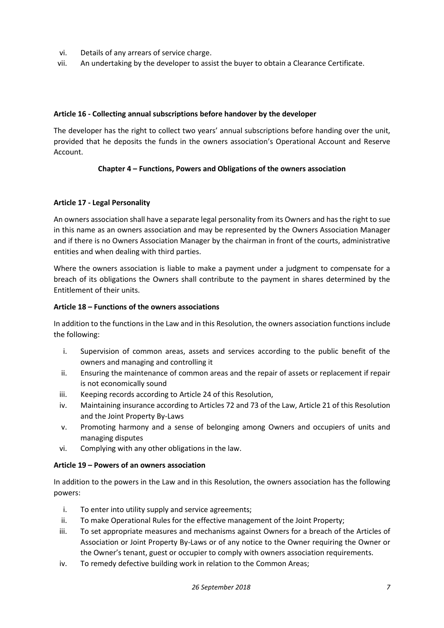- vi. Details of any arrears of service charge.
- vii. An undertaking by the developer to assist the buyer to obtain a Clearance Certificate.

#### **Article 16 - Collecting annual subscriptions before handover by the developer**

The developer has the right to collect two years' annual subscriptions before handing over the unit, provided that he deposits the funds in the owners association's Operational Account and Reserve Account.

# **Chapter 4 – Functions, Powers and Obligations of the owners association**

# **Article 17 - Legal Personality**

An owners association shall have a separate legal personality from its Owners and has the right to sue in this name as an owners association and may be represented by the Owners Association Manager and if there is no Owners Association Manager by the chairman in front of the courts, administrative entities and when dealing with third parties.

Where the owners association is liable to make a payment under a judgment to compensate for a breach of its obligations the Owners shall contribute to the payment in shares determined by the Entitlement of their units.

#### **Article 18 – Functions of the owners associations**

In addition to the functions in the Law and in this Resolution, the owners association functions include the following:

- i. Supervision of common areas, assets and services according to the public benefit of the owners and managing and controlling it
- ii. Ensuring the maintenance of common areas and the repair of assets or replacement if repair is not economically sound
- iii. Keeping records according to Article 24 of this Resolution,
- iv. Maintaining insurance according to Articles 72 and 73 of the Law, Article 21 of this Resolution and the Joint Property By-Laws
- v. Promoting harmony and a sense of belonging among Owners and occupiers of units and managing disputes
- vi. Complying with any other obligations in the law.

#### **Article 19 – Powers of an owners association**

In addition to the powers in the Law and in this Resolution, the owners association has the following powers:

- i. To enter into utility supply and service agreements;
- ii. To make Operational Rules for the effective management of the Joint Property;
- iii. To set appropriate measures and mechanisms against Owners for a breach of the Articles of Association or Joint Property By-Laws or of any notice to the Owner requiring the Owner or the Owner's tenant, guest or occupier to comply with owners association requirements.
- iv. To remedy defective building work in relation to the Common Areas;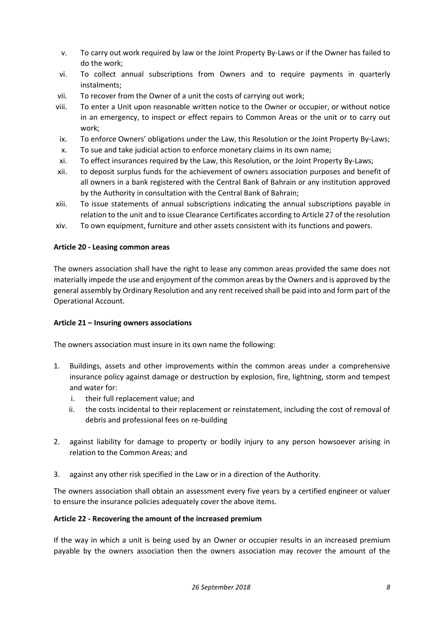- v. To carry out work required by law or the Joint Property By-Laws or if the Owner has failed to do the work;
- vi. To collect annual subscriptions from Owners and to require payments in quarterly instalments;
- vii. To recover from the Owner of a unit the costs of carrying out work;
- viii. To enter a Unit upon reasonable written notice to the Owner or occupier, or without notice in an emergency, to inspect or effect repairs to Common Areas or the unit or to carry out work;
- ix. To enforce Owners' obligations under the Law, this Resolution or the Joint Property By-Laws;
- x. To sue and take judicial action to enforce monetary claims in its own name;
- xi. To effect insurances required by the Law, this Resolution, or the Joint Property By-Laws;
- xii. to deposit surplus funds for the achievement of owners association purposes and benefit of all owners in a bank registered with the Central Bank of Bahrain or any institution approved by the Authority in consultation with the Central Bank of Bahrain;
- xiii. To issue statements of annual subscriptions indicating the annual subscriptions payable in relation to the unit and to issue Clearance Certificates according to Article 27 of the resolution
- xiv. To own equipment, furniture and other assets consistent with its functions and powers.

#### **Article 20 - Leasing common areas**

The owners association shall have the right to lease any common areas provided the same does not materially impede the use and enjoyment of the common areas by the Owners and is approved by the general assembly by Ordinary Resolution and any rent received shall be paid into and form part of the Operational Account.

#### **Article 21 – Insuring owners associations**

The owners association must insure in its own name the following:

- 1. Buildings, assets and other improvements within the common areas under a comprehensive insurance policy against damage or destruction by explosion, fire, lightning, storm and tempest and water for:
	- i. their full replacement value; and
	- ii. the costs incidental to their replacement or reinstatement, including the cost of removal of debris and professional fees on re-building
- 2. against liability for damage to property or bodily injury to any person howsoever arising in relation to the Common Areas; and
- 3. against any other risk specified in the Law or in a direction of the Authority.

The owners association shall obtain an assessment every five years by a certified engineer or valuer to ensure the insurance policies adequately cover the above items.

#### **Article 22 - Recovering the amount of the increased premium**

If the way in which a unit is being used by an Owner or occupier results in an increased premium payable by the owners association then the owners association may recover the amount of the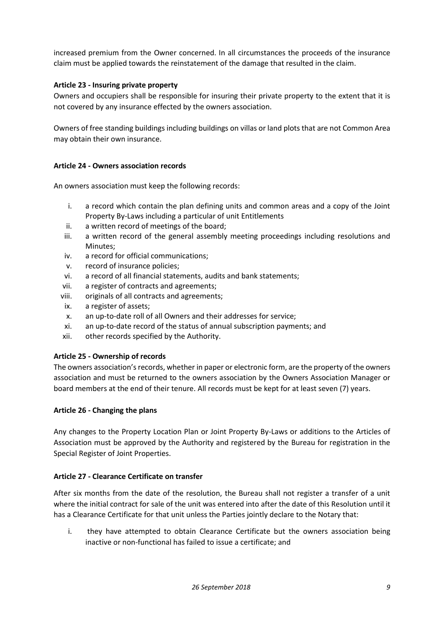increased premium from the Owner concerned. In all circumstances the proceeds of the insurance claim must be applied towards the reinstatement of the damage that resulted in the claim.

# **Article 23 - Insuring private property**

Owners and occupiers shall be responsible for insuring their private property to the extent that it is not covered by any insurance effected by the owners association.

Owners of free standing buildings including buildings on villas or land plots that are not Common Area may obtain their own insurance.

# **Article 24 - Owners association records**

An owners association must keep the following records:

- i. a record which contain the plan defining units and common areas and a copy of the Joint Property By-Laws including a particular of unit Entitlements
- ii. a written record of meetings of the board;
- iii. a written record of the general assembly meeting proceedings including resolutions and Minutes;
- iv. a record for official communications;
- v. record of insurance policies;
- vi. a record of all financial statements, audits and bank statements;
- vii. a register of contracts and agreements;
- viii. originals of all contracts and agreements;
- ix. a register of assets;
- x. an up-to-date roll of all Owners and their addresses for service;
- xi. an up-to-date record of the status of annual subscription payments; and
- xii. other records specified by the Authority.

#### **Article 25 - Ownership of records**

The owners association's records, whether in paper or electronic form, are the property of the owners association and must be returned to the owners association by the Owners Association Manager or board members at the end of their tenure. All records must be kept for at least seven (7) years.

#### **Article 26 - Changing the plans**

Any changes to the Property Location Plan or Joint Property By-Laws or additions to the Articles of Association must be approved by the Authority and registered by the Bureau for registration in the Special Register of Joint Properties.

#### **Article 27 - Clearance Certificate on transfer**

After six months from the date of the resolution, the Bureau shall not register a transfer of a unit where the initial contract for sale of the unit was entered into after the date of this Resolution until it has a Clearance Certificate for that unit unless the Parties jointly declare to the Notary that:

i. they have attempted to obtain Clearance Certificate but the owners association being inactive or non-functional has failed to issue a certificate; and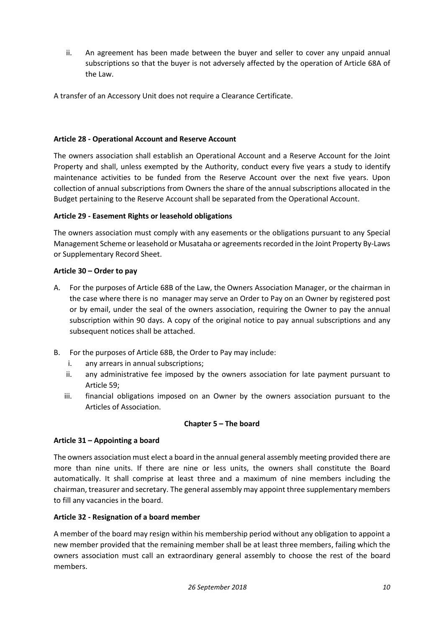ii. An agreement has been made between the buyer and seller to cover any unpaid annual subscriptions so that the buyer is not adversely affected by the operation of Article 68A of the Law.

A transfer of an Accessory Unit does not require a Clearance Certificate.

# **Article 28 - Operational Account and Reserve Account**

The owners association shall establish an Operational Account and a Reserve Account for the Joint Property and shall, unless exempted by the Authority, conduct every five years a study to identify maintenance activities to be funded from the Reserve Account over the next five years. Upon collection of annual subscriptions from Owners the share of the annual subscriptions allocated in the Budget pertaining to the Reserve Account shall be separated from the Operational Account.

# **Article 29 - Easement Rights or leasehold obligations**

The owners association must comply with any easements or the obligations pursuant to any Special Management Scheme or leasehold or Musataha or agreements recorded in the Joint Property By-Laws or Supplementary Record Sheet.

# **Article 30 – Order to pay**

- A. For the purposes of Article 68B of the Law, the Owners Association Manager, or the chairman in the case where there is no manager may serve an Order to Pay on an Owner by registered post or by email, under the seal of the owners association, requiring the Owner to pay the annual subscription within 90 days. A copy of the original notice to pay annual subscriptions and any subsequent notices shall be attached.
- B. For the purposes of Article 68B, the Order to Pay may include:
	- i. any arrears in annual subscriptions;
	- ii. any administrative fee imposed by the owners association for late payment pursuant to Article 59;
	- iii. financial obligations imposed on an Owner by the owners association pursuant to the Articles of Association.

# **Chapter 5 – The board**

# **Article 31 – Appointing a board**

The owners association must elect a board in the annual general assembly meeting provided there are more than nine units. If there are nine or less units, the owners shall constitute the Board automatically. It shall comprise at least three and a maximum of nine members including the chairman, treasurer and secretary. The general assembly may appoint three supplementary members to fill any vacancies in the board.

# **Article 32 - Resignation of a board member**

A member of the board may resign within his membership period without any obligation to appoint a new member provided that the remaining member shall be at least three members, failing which the owners association must call an extraordinary general assembly to choose the rest of the board members.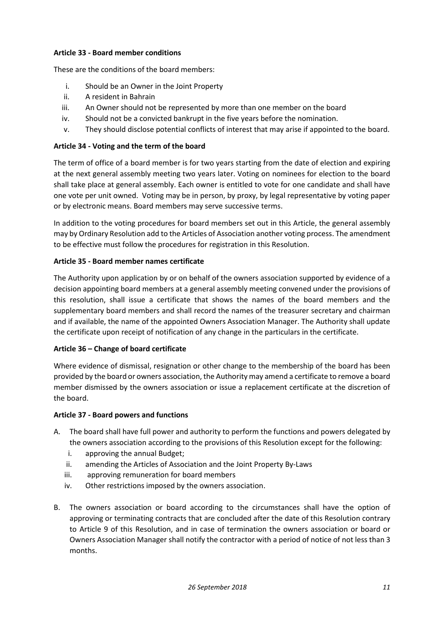# **Article 33 - Board member conditions**

These are the conditions of the board members:

- i. Should be an Owner in the Joint Property
- ii. A resident in Bahrain
- iii. An Owner should not be represented by more than one member on the board
- iv. Should not be a convicted bankrupt in the five years before the nomination.
- v. They should disclose potential conflicts of interest that may arise if appointed to the board.

# **Article 34 - Voting and the term of the board**

The term of office of a board member is for two years starting from the date of election and expiring at the next general assembly meeting two years later. Voting on nominees for election to the board shall take place at general assembly. Each owner is entitled to vote for one candidate and shall have one vote per unit owned. Voting may be in person, by proxy, by legal representative by voting paper or by electronic means. Board members may serve successive terms.

In addition to the voting procedures for board members set out in this Article, the general assembly may by Ordinary Resolution add to the Articles of Association another voting process. The amendment to be effective must follow the procedures for registration in this Resolution.

# **Article 35 - Board member names certificate**

The Authority upon application by or on behalf of the owners association supported by evidence of a decision appointing board members at a general assembly meeting convened under the provisions of this resolution, shall issue a certificate that shows the names of the board members and the supplementary board members and shall record the names of the treasurer secretary and chairman and if available, the name of the appointed Owners Association Manager. The Authority shall update the certificate upon receipt of notification of any change in the particulars in the certificate.

#### **Article 36 – Change of board certificate**

Where evidence of dismissal, resignation or other change to the membership of the board has been provided by the board or owners association, the Authority may amend a certificate to remove a board member dismissed by the owners association or issue a replacement certificate at the discretion of the board.

#### **Article 37 - Board powers and functions**

- A. The board shall have full power and authority to perform the functions and powers delegated by the owners association according to the provisions of this Resolution except for the following:
	- i. approving the annual Budget;
	- ii. amending the Articles of Association and the Joint Property By-Laws
	- iii. approving remuneration for board members
	- iv. Other restrictions imposed by the owners association.
- B. The owners association or board according to the circumstances shall have the option of approving or terminating contracts that are concluded after the date of this Resolution contrary to Article 9 of this Resolution, and in case of termination the owners association or board or Owners Association Manager shall notify the contractor with a period of notice of not less than 3 months.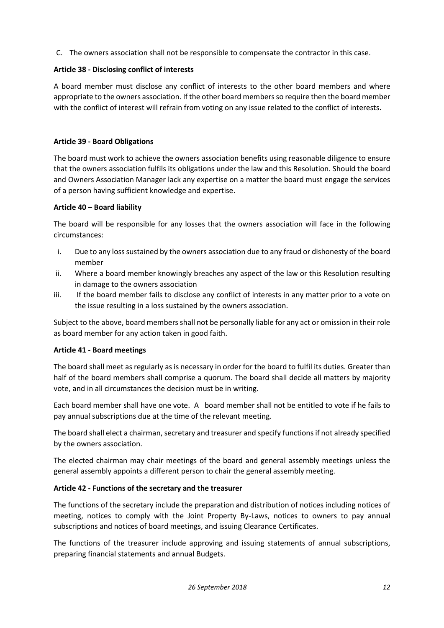C. The owners association shall not be responsible to compensate the contractor in this case.

# **Article 38 - Disclosing conflict of interests**

A board member must disclose any conflict of interests to the other board members and where appropriate to the owners association. If the other board members so require then the board member with the conflict of interest will refrain from voting on any issue related to the conflict of interests.

# **Article 39 - Board Obligations**

The board must work to achieve the owners association benefits using reasonable diligence to ensure that the owners association fulfils its obligations under the law and this Resolution. Should the board and Owners Association Manager lack any expertise on a matter the board must engage the services of a person having sufficient knowledge and expertise.

# **Article 40 – Board liability**

The board will be responsible for any losses that the owners association will face in the following circumstances:

- i. Due to any loss sustained by the owners association due to any fraud or dishonesty of the board member
- ii. Where a board member knowingly breaches any aspect of the law or this Resolution resulting in damage to the owners association
- iii. If the board member fails to disclose any conflict of interests in any matter prior to a vote on the issue resulting in a loss sustained by the owners association.

Subject to the above, board members shall not be personally liable for any act or omission in their role as board member for any action taken in good faith.

# **Article 41 - Board meetings**

The board shall meet as regularly as is necessary in order for the board to fulfil its duties. Greater than half of the board members shall comprise a quorum. The board shall decide all matters by majority vote, and in all circumstances the decision must be in writing.

Each board member shall have one vote. A board member shall not be entitled to vote if he fails to pay annual subscriptions due at the time of the relevant meeting.

The board shall elect a chairman, secretary and treasurer and specify functions if not already specified by the owners association.

The elected chairman may chair meetings of the board and general assembly meetings unless the general assembly appoints a different person to chair the general assembly meeting.

# **Article 42 - Functions of the secretary and the treasurer**

The functions of the secretary include the preparation and distribution of notices including notices of meeting, notices to comply with the Joint Property By-Laws, notices to owners to pay annual subscriptions and notices of board meetings, and issuing Clearance Certificates.

The functions of the treasurer include approving and issuing statements of annual subscriptions, preparing financial statements and annual Budgets.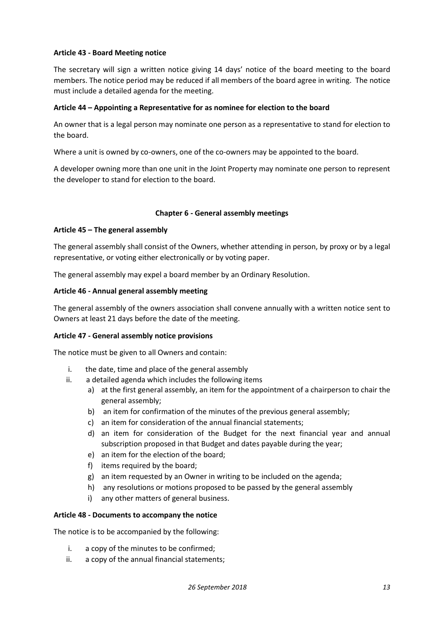# **Article 43 - Board Meeting notice**

The secretary will sign a written notice giving 14 days' notice of the board meeting to the board members. The notice period may be reduced if all members of the board agree in writing. The notice must include a detailed agenda for the meeting.

# **Article 44 – Appointing a Representative for as nominee for election to the board**

An owner that is a legal person may nominate one person as a representative to stand for election to the board.

Where a unit is owned by co-owners, one of the co-owners may be appointed to the board.

A developer owning more than one unit in the Joint Property may nominate one person to represent the developer to stand for election to the board.

#### **Chapter 6 - General assembly meetings**

#### **Article 45 – The general assembly**

The general assembly shall consist of the Owners, whether attending in person, by proxy or by a legal representative, or voting either electronically or by voting paper.

The general assembly may expel a board member by an Ordinary Resolution.

#### **Article 46 - Annual general assembly meeting**

The general assembly of the owners association shall convene annually with a written notice sent to Owners at least 21 days before the date of the meeting.

#### **Article 47 - General assembly notice provisions**

The notice must be given to all Owners and contain:

- i. the date, time and place of the general assembly
- ii. a detailed agenda which includes the following items
	- a) at the first general assembly, an item for the appointment of a chairperson to chair the general assembly;
	- b) an item for confirmation of the minutes of the previous general assembly;
	- c) an item for consideration of the annual financial statements;
	- d) an item for consideration of the Budget for the next financial year and annual subscription proposed in that Budget and dates payable during the year;
	- e) an item for the election of the board;
	- f) items required by the board;
	- g) an item requested by an Owner in writing to be included on the agenda;
	- h) any resolutions or motions proposed to be passed by the general assembly
	- i) any other matters of general business.

#### **Article 48 - Documents to accompany the notice**

The notice is to be accompanied by the following:

- i. a copy of the minutes to be confirmed;
- ii. a copy of the annual financial statements;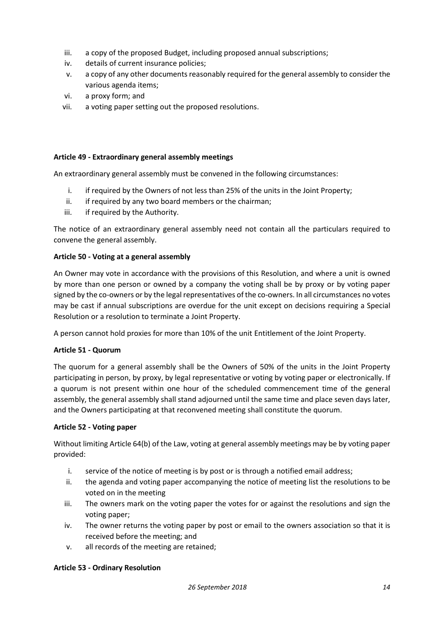- iii. a copy of the proposed Budget, including proposed annual subscriptions;
- iv. details of current insurance policies;
- v. a copy of any other documents reasonably required for the general assembly to consider the various agenda items;
- vi. a proxy form; and
- vii. a voting paper setting out the proposed resolutions.

# **Article 49 - Extraordinary general assembly meetings**

An extraordinary general assembly must be convened in the following circumstances:

- i. if required by the Owners of not less than 25% of the units in the Joint Property;
- ii. if required by any two board members or the chairman;
- iii. if required by the Authority.

The notice of an extraordinary general assembly need not contain all the particulars required to convene the general assembly.

# **Article 50 - Voting at a general assembly**

An Owner may vote in accordance with the provisions of this Resolution, and where a unit is owned by more than one person or owned by a company the voting shall be by proxy or by voting paper signed by the co-owners or by the legal representatives of the co-owners. In all circumstances no votes may be cast if annual subscriptions are overdue for the unit except on decisions requiring a Special Resolution or a resolution to terminate a Joint Property.

A person cannot hold proxies for more than 10% of the unit Entitlement of the Joint Property.

#### **Article 51 - Quorum**

The quorum for a general assembly shall be the Owners of 50% of the units in the Joint Property participating in person, by proxy, by legal representative or voting by voting paper or electronically. If a quorum is not present within one hour of the scheduled commencement time of the general assembly, the general assembly shall stand adjourned until the same time and place seven days later, and the Owners participating at that reconvened meeting shall constitute the quorum.

#### **Article 52 - Voting paper**

Without limiting Article 64(b) of the Law, voting at general assembly meetings may be by voting paper provided:

- i. service of the notice of meeting is by post or is through a notified email address;
- ii. the agenda and voting paper accompanying the notice of meeting list the resolutions to be voted on in the meeting
- iii. The owners mark on the voting paper the votes for or against the resolutions and sign the voting paper;
- iv. The owner returns the voting paper by post or email to the owners association so that it is received before the meeting; and
- v. all records of the meeting are retained;

# **Article 53 - Ordinary Resolution**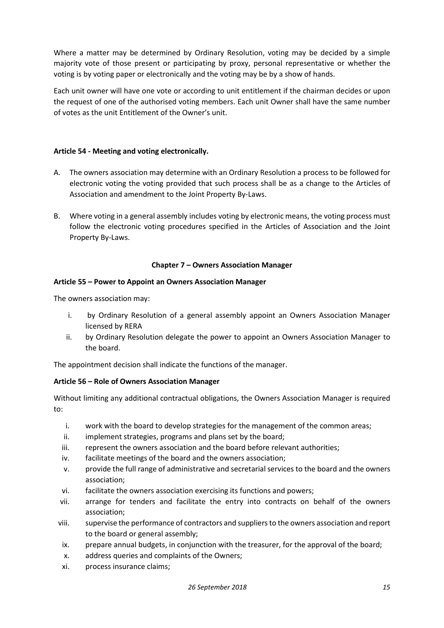Where a matter may be determined by Ordinary Resolution, voting may be decided by a simple majority vote of those present or participating by proxy, personal representative or whether the voting is by voting paper or electronically and the voting may be by a show of hands.

Each unit owner will have one vote or according to unit entitlement if the chairman decides or upon the request of one of the authorised voting members. Each unit Owner shall have the same number of votes as the unit Entitlement of the Owner's unit.

# **Article 54 - Meeting and voting electronically.**

- A. The owners association may determine with an Ordinary Resolution a process to be followed for electronic voting the voting provided that such process shall be as a change to the Articles of Association and amendment to the Joint Property By-Laws.
- B. Where voting in a general assembly includes voting by electronic means, the voting process must follow the electronic voting procedures specified in the Articles of Association and the Joint Property By-Laws.

#### **Chapter 7 – Owners Association Manager**

#### **Article 55 – Power to Appoint an Owners Association Manager**

The owners association may:

- i. by Ordinary Resolution of a general assembly appoint an Owners Association Manager licensed by RERA
- ii. by Ordinary Resolution delegate the power to appoint an Owners Association Manager to the board.

The appointment decision shall indicate the functions of the manager.

#### **Article 56 – Role of Owners Association Manager**

Without limiting any additional contractual obligations, the Owners Association Manager is required to:

- i. work with the board to develop strategies for the management of the common areas;
- ii. implement strategies, programs and plans set by the board;
- iii. represent the owners association and the board before relevant authorities;
- iv. facilitate meetings of the board and the owners association;
- v. provide the full range of administrative and secretarial services to the board and the owners association;
- vi. facilitate the owners association exercising its functions and powers;
- vii. arrange for tenders and facilitate the entry into contracts on behalf of the owners association;
- viii. supervise the performance of contractors and suppliers to the owners association and report to the board or general assembly;
- ix. prepare annual budgets, in conjunction with the treasurer, for the approval of the board;
- x. address queries and complaints of the Owners;
- xi. process insurance claims;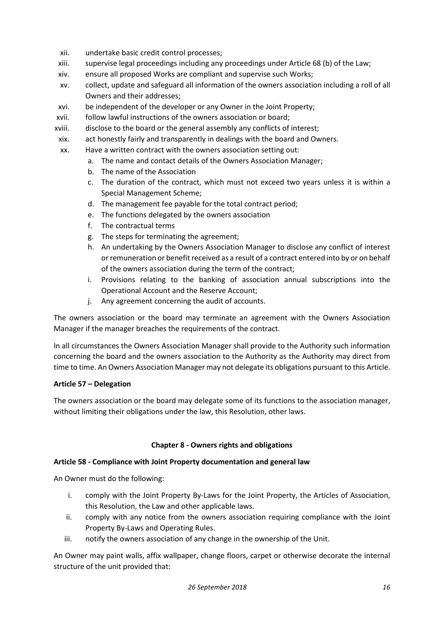- xii. undertake basic credit control processes;
- xiii. supervise legal proceedings including any proceedings under Article 68 (b) of the Law;
- xiv. ensure all proposed Works are compliant and supervise such Works;
- xv. collect, update and safeguard all information of the owners association including a roll of all Owners and their addresses;
- xvi. be independent of the developer or any Owner in the Joint Property;
- xvii. follow lawful instructions of the owners association or board;
- xviii. disclose to the board or the general assembly any conflicts of interest;
- xix. act honestly fairly and transparently in dealings with the board and Owners.
- xx. Have a written contract with the owners association setting out:
	- a. The name and contact details of the Owners Association Manager;
	- b. The name of the Association
	- c. The duration of the contract, which must not exceed two years unless it is within a Special Management Scheme;
	- d. The management fee payable for the total contract period;
	- e. The functions delegated by the owners association
	- f. The contractual terms
	- g. The steps for terminating the agreement;
	- h. An undertaking by the Owners Association Manager to disclose any conflict of interest or remuneration or benefit received as a result of a contract entered into by or on behalf of the owners association during the term of the contract;
	- i. Provisions relating to the banking of association annual subscriptions into the Operational Account and the Reserve Account;
	- j. Any agreement concerning the audit of accounts.

The owners association or the board may terminate an agreement with the Owners Association Manager if the manager breaches the requirements of the contract.

In all circumstances the Owners Association Manager shall provide to the Authority such information concerning the board and the owners association to the Authority as the Authority may direct from time to time. An Owners Association Manager may not delegate its obligations pursuant to this Article.

# **Article 57 – Delegation**

The owners association or the board may delegate some of its functions to the association manager, without limiting their obligations under the law, this Resolution, other laws.

# **Chapter 8 - Owners rights and obligations**

# **Article 58 - Compliance with Joint Property documentation and general law**

An Owner must do the following:

- i. comply with the Joint Property By-Laws for the Joint Property, the Articles of Association, this Resolution, the Law and other applicable laws.
- ii. comply with any notice from the owners association requiring compliance with the Joint Property By-Laws and Operating Rules.
- iii. notify the owners association of any change in the ownership of the Unit.

An Owner may paint walls, affix wallpaper, change floors, carpet or otherwise decorate the internal structure of the unit provided that: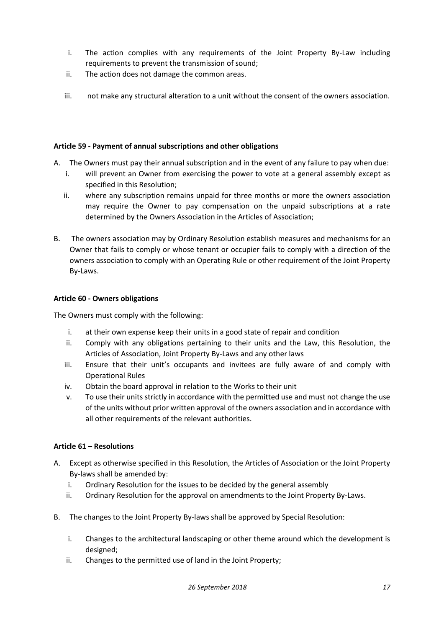- i. The action complies with any requirements of the Joint Property By-Law including requirements to prevent the transmission of sound;
- ii. The action does not damage the common areas.
- iii. not make any structural alteration to a unit without the consent of the owners association.

# **Article 59 - Payment of annual subscriptions and other obligations**

- A. The Owners must pay their annual subscription and in the event of any failure to pay when due:
	- i. will prevent an Owner from exercising the power to vote at a general assembly except as specified in this Resolution;
	- ii. where any subscription remains unpaid for three months or more the owners association may require the Owner to pay compensation on the unpaid subscriptions at a rate determined by the Owners Association in the Articles of Association;
- B. The owners association may by Ordinary Resolution establish measures and mechanisms for an Owner that fails to comply or whose tenant or occupier fails to comply with a direction of the owners association to comply with an Operating Rule or other requirement of the Joint Property By-Laws.

# **Article 60 - Owners obligations**

The Owners must comply with the following:

- i. at their own expense keep their units in a good state of repair and condition
- ii. Comply with any obligations pertaining to their units and the Law, this Resolution, the Articles of Association, Joint Property By-Laws and any other laws
- iii. Ensure that their unit's occupants and invitees are fully aware of and comply with Operational Rules
- iv. Obtain the board approval in relation to the Works to their unit
- v. To use their units strictly in accordance with the permitted use and must not change the use of the units without prior written approval of the owners association and in accordance with all other requirements of the relevant authorities.

# **Article 61 – Resolutions**

- A. Except as otherwise specified in this Resolution, the Articles of Association or the Joint Property By-laws shall be amended by:
	- i. Ordinary Resolution for the issues to be decided by the general assembly
	- ii. Ordinary Resolution for the approval on amendments to the Joint Property By-Laws.
- B. The changes to the Joint Property By-laws shall be approved by Special Resolution:
	- i. Changes to the architectural landscaping or other theme around which the development is designed;
	- ii. Changes to the permitted use of land in the Joint Property;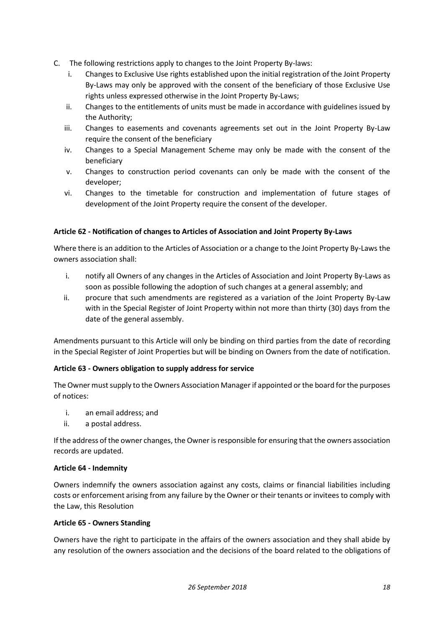- C. The following restrictions apply to changes to the Joint Property By-laws:
	- i. Changes to Exclusive Use rights established upon the initial registration of the Joint Property By-Laws may only be approved with the consent of the beneficiary of those Exclusive Use rights unless expressed otherwise in the Joint Property By-Laws;
	- ii. Changes to the entitlements of units must be made in accordance with guidelines issued by the Authority;
	- iii. Changes to easements and covenants agreements set out in the Joint Property By-Law require the consent of the beneficiary
	- iv. Changes to a Special Management Scheme may only be made with the consent of the beneficiary
	- v. Changes to construction period covenants can only be made with the consent of the developer;
	- vi. Changes to the timetable for construction and implementation of future stages of development of the Joint Property require the consent of the developer.

# **Article 62 - Notification of changes to Articles of Association and Joint Property By-Laws**

Where there is an addition to the Articles of Association or a change to the Joint Property By-Laws the owners association shall:

- i. notify all Owners of any changes in the Articles of Association and Joint Property By-Laws as soon as possible following the adoption of such changes at a general assembly; and
- ii. procure that such amendments are registered as a variation of the Joint Property By-Law with in the Special Register of Joint Property within not more than thirty (30) days from the date of the general assembly.

Amendments pursuant to this Article will only be binding on third parties from the date of recording in the Special Register of Joint Properties but will be binding on Owners from the date of notification.

# **Article 63 - Owners obligation to supply address for service**

The Owner must supply to the Owners Association Manager if appointed or the board for the purposes of notices:

- i. an email address; and
- ii. a postal address.

If the address of the owner changes, the Owner is responsible for ensuring that the owners association records are updated.

# **Article 64 - Indemnity**

Owners indemnify the owners association against any costs, claims or financial liabilities including costs or enforcement arising from any failure by the Owner or their tenants or invitees to comply with the Law, this Resolution

# **Article 65 - Owners Standing**

Owners have the right to participate in the affairs of the owners association and they shall abide by any resolution of the owners association and the decisions of the board related to the obligations of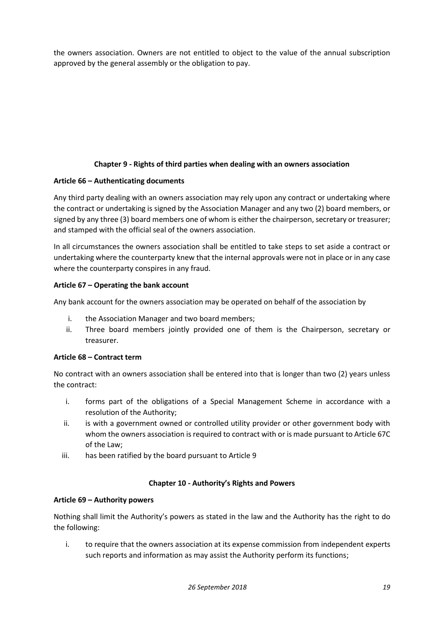the owners association. Owners are not entitled to object to the value of the annual subscription approved by the general assembly or the obligation to pay.

# **Chapter 9 - Rights of third parties when dealing with an owners association**

# **Article 66 – Authenticating documents**

Any third party dealing with an owners association may rely upon any contract or undertaking where the contract or undertaking is signed by the Association Manager and any two (2) board members, or signed by any three (3) board members one of whom is either the chairperson, secretary or treasurer; and stamped with the official seal of the owners association.

In all circumstances the owners association shall be entitled to take steps to set aside a contract or undertaking where the counterparty knew that the internal approvals were not in place or in any case where the counterparty conspires in any fraud.

# **Article 67 – Operating the bank account**

Any bank account for the owners association may be operated on behalf of the association by

- i. the Association Manager and two board members;
- ii. Three board members jointly provided one of them is the Chairperson, secretary or treasurer.

#### **Article 68 – Contract term**

No contract with an owners association shall be entered into that is longer than two (2) years unless the contract:

- i. forms part of the obligations of a Special Management Scheme in accordance with a resolution of the Authority;
- ii. is with a government owned or controlled utility provider or other government body with whom the owners association is required to contract with or is made pursuant to Article 67C of the Law;
- iii. has been ratified by the board pursuant to Article 9

#### **Chapter 10 - Authority's Rights and Powers**

#### **Article 69 – Authority powers**

Nothing shall limit the Authority's powers as stated in the law and the Authority has the right to do the following:

i. to require that the owners association at its expense commission from independent experts such reports and information as may assist the Authority perform its functions;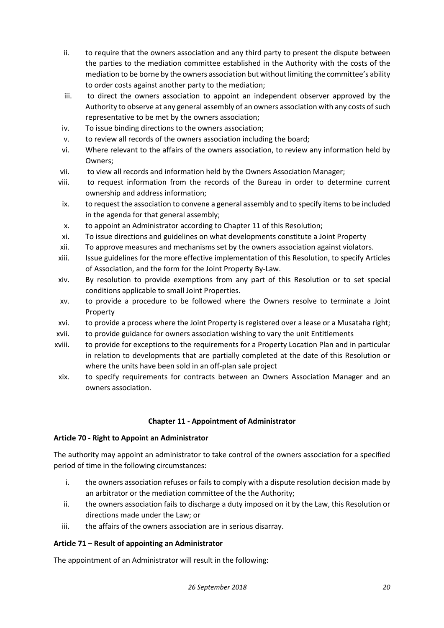- ii. to require that the owners association and any third party to present the dispute between the parties to the mediation committee established in the Authority with the costs of the mediation to be borne by the owners association but without limiting the committee's ability to order costs against another party to the mediation;
- iii. to direct the owners association to appoint an independent observer approved by the Authority to observe at any general assembly of an owners association with any costs of such representative to be met by the owners association;
- iv. To issue binding directions to the owners association;
- v. to review all records of the owners association including the board;
- vi. Where relevant to the affairs of the owners association, to review any information held by Owners;
- vii. to view all records and information held by the Owners Association Manager;
- viii. to request information from the records of the Bureau in order to determine current ownership and address information;
- ix. to request the association to convene a general assembly and to specify items to be included in the agenda for that general assembly;
- x. to appoint an Administrator according to Chapter 11 of this Resolution;
- xi. To issue directions and guidelines on what developments constitute a Joint Property
- xii. To approve measures and mechanisms set by the owners association against violators.
- xiii. Issue guidelines for the more effective implementation of this Resolution, to specify Articles of Association, and the form for the Joint Property By-Law.
- xiv. By resolution to provide exemptions from any part of this Resolution or to set special conditions applicable to small Joint Properties.
- xv. to provide a procedure to be followed where the Owners resolve to terminate a Joint Property
- xvi. to provide a process where the Joint Property is registered over a lease or a Musataha right;
- xvii. to provide guidance for owners association wishing to vary the unit Entitlements
- xviii. to provide for exceptions to the requirements for a Property Location Plan and in particular in relation to developments that are partially completed at the date of this Resolution or where the units have been sold in an off-plan sale project
- xix. to specify requirements for contracts between an Owners Association Manager and an owners association.

# **Chapter 11 - Appointment of Administrator**

# **Article 70 - Right to Appoint an Administrator**

The authority may appoint an administrator to take control of the owners association for a specified period of time in the following circumstances:

- i. the owners association refuses or fails to comply with a dispute resolution decision made by an arbitrator or the mediation committee of the the Authority;
- ii. the owners association fails to discharge a duty imposed on it by the Law, this Resolution or directions made under the Law; or
- iii. the affairs of the owners association are in serious disarray.

# **Article 71 – Result of appointing an Administrator**

The appointment of an Administrator will result in the following: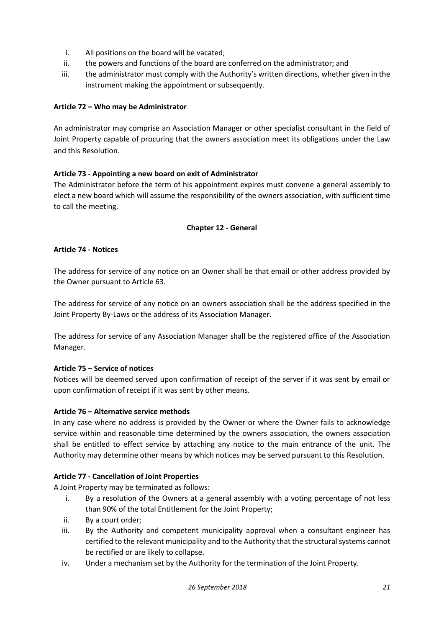- i. All positions on the board will be vacated;
- ii. the powers and functions of the board are conferred on the administrator; and
- iii. the administrator must comply with the Authority's written directions, whether given in the instrument making the appointment or subsequently.

# **Article 72 – Who may be Administrator**

An administrator may comprise an Association Manager or other specialist consultant in the field of Joint Property capable of procuring that the owners association meet its obligations under the Law and this Resolution.

# **Article 73 - Appointing a new board on exit of Administrator**

The Administrator before the term of his appointment expires must convene a general assembly to elect a new board which will assume the responsibility of the owners association, with sufficient time to call the meeting.

# **Chapter 12 - General**

# **Article 74 - Notices**

The address for service of any notice on an Owner shall be that email or other address provided by the Owner pursuant to Article 63.

The address for service of any notice on an owners association shall be the address specified in the Joint Property By-Laws or the address of its Association Manager.

The address for service of any Association Manager shall be the registered office of the Association Manager.

# **Article 75 – Service of notices**

Notices will be deemed served upon confirmation of receipt of the server if it was sent by email or upon confirmation of receipt if it was sent by other means.

# **Article 76 – Alternative service methods**

In any case where no address is provided by the Owner or where the Owner fails to acknowledge service within and reasonable time determined by the owners association, the owners association shall be entitled to effect service by attaching any notice to the main entrance of the unit. The Authority may determine other means by which notices may be served pursuant to this Resolution.

# **Article 77 - Cancellation of Joint Properties**

A Joint Property may be terminated as follows:

- i. By a resolution of the Owners at a general assembly with a voting percentage of not less than 90% of the total Entitlement for the Joint Property;
- ii. By a court order;
- iii. By the Authority and competent municipality approval when a consultant engineer has certified to the relevant municipality and to the Authority that the structural systems cannot be rectified or are likely to collapse.
- iv. Under a mechanism set by the Authority for the termination of the Joint Property.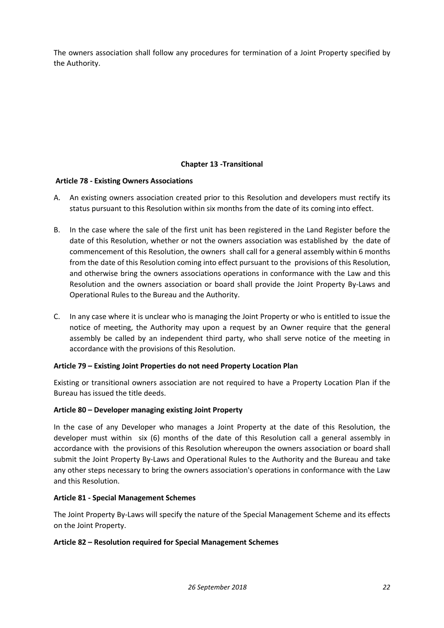The owners association shall follow any procedures for termination of a Joint Property specified by the Authority.

# **Chapter 13 -Transitional**

# **Article 78 - Existing Owners Associations**

- A. An existing owners association created prior to this Resolution and developers must rectify its status pursuant to this Resolution within six months from the date of its coming into effect.
- B. In the case where the sale of the first unit has been registered in the Land Register before the date of this Resolution, whether or not the owners association was established by the date of commencement of this Resolution, the owners shall call for a general assembly within 6 months from the date of this Resolution coming into effect pursuant to the provisions of this Resolution, and otherwise bring the owners associations operations in conformance with the Law and this Resolution and the owners association or board shall provide the Joint Property By-Laws and Operational Rules to the Bureau and the Authority.
- C. In any case where it is unclear who is managing the Joint Property or who is entitled to issue the notice of meeting, the Authority may upon a request by an Owner require that the general assembly be called by an independent third party, who shall serve notice of the meeting in accordance with the provisions of this Resolution.

# **Article 79 – Existing Joint Properties do not need Property Location Plan**

Existing or transitional owners association are not required to have a Property Location Plan if the Bureau has issued the title deeds.

#### **Article 80 – Developer managing existing Joint Property**

In the case of any Developer who manages a Joint Property at the date of this Resolution, the developer must within six (6) months of the date of this Resolution call a general assembly in accordance with the provisions of this Resolution whereupon the owners association or board shall submit the Joint Property By-Laws and Operational Rules to the Authority and the Bureau and take any other steps necessary to bring the owners association's operations in conformance with the Law and this Resolution.

#### **Article 81 - Special Management Schemes**

The Joint Property By-Laws will specify the nature of the Special Management Scheme and its effects on the Joint Property.

#### **Article 82 – Resolution required for Special Management Schemes**